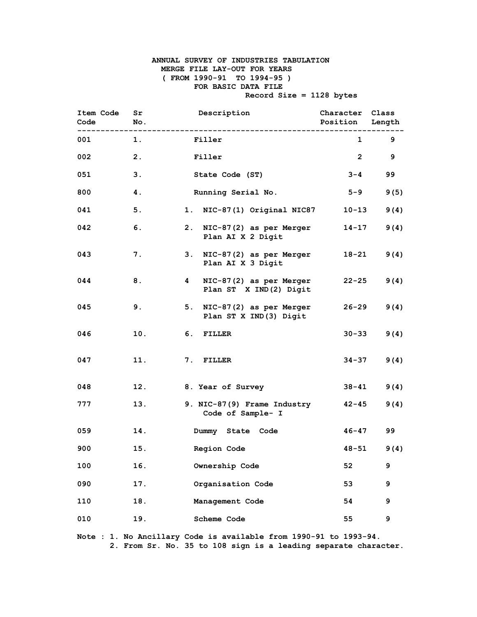## **ANNUAL SURVEY OF INDUSTRIES TABULATION MERGE FILE LAY-OUT FOR YEARS ( FROM 1990-91 TO 1994-95 ) FOR BASIC DATA FILE Record Size = 1128 bytes**

**Item Code Sr Description Character Class Code No. Position Length ---------------------------------------------------------------------- 1. Filler 1 9 2. Filler 2 9 3. State Code (ST) 3-4 99 4. Running Serial No. 5-9 9(5) 5. 1. NIC-87(1) Original NIC87 10-13 9(4) 6. 2. NIC-87(2) as per Merger 14-17 9(4) Plan AI X 2 Digit 7. 3. NIC-87(2) as per Merger 18-21 9(4) Plan AI X 3 Digit 8. 4 NIC-87(2) as per Merger 22-25 9(4) Plan ST X IND(2) Digit 9. 5. NIC-87(2) as per Merger 26-29 9(4) Plan ST X IND(3) Digit 10. 6. FILLER 30-33 9(4) 11. 7. FILLER 34-37 9(4) 12. 8. Year of Survey 38-41 9(4) 13. 9. NIC-87(9) Frame Industry 42-45 9(4) Code of Sample- I 14. Dummy State Code 46-47 99 15. Region Code 48-51 9(4) 16. Ownership Code 52 9 17. Organisation Code 53 9 18. Management Code 54 9 19. Scheme Code 55 9** 

**Note : 1. No Ancillary Code is available from 1990-91 to 1993-94. 2. From Sr. No. 35 to 108 sign is a leading separate character.**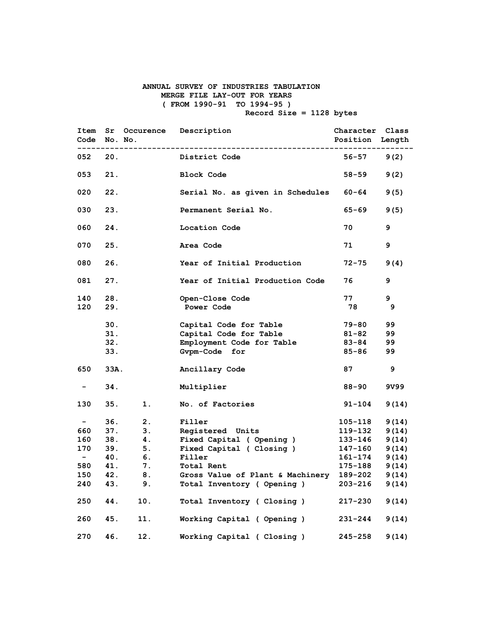## **ANNUAL SURVEY OF INDUSTRIES TABULATION MERGE FILE LAY-OUT FOR YEARS ( FROM 1990-91 TO 1994-95 ) Record Size = 1128 bytes**

| Code No. No.            |      | Item Sr Occurence Description<br>------------------ |                                             | Character Class<br>Position Length |       |  |
|-------------------------|------|-----------------------------------------------------|---------------------------------------------|------------------------------------|-------|--|
| 052                     | 20.  |                                                     | District Code                               | $56 - 57$                          | 9(2)  |  |
| 053                     | 21.  |                                                     | <b>Block Code</b>                           | 58-59                              | 9(2)  |  |
| 020                     | 22.  |                                                     | Serial No. as given in Schedules            | 60-64                              | 9(5)  |  |
| 030                     | 23.  |                                                     | Permanent Serial No.                        | 65-69                              | 9(5)  |  |
| 060                     | 24.  |                                                     | Location Code                               | 70 —                               | 9     |  |
| 070                     | 25.  |                                                     | Area Code                                   | 71 —                               | 9     |  |
| 080                     | 26.  |                                                     | Year of Initial Production                  | 72–75                              | 9(4)  |  |
| 081                     | 27.  |                                                     | Year of Initial Production Code             | 76                                 | 9     |  |
| 140                     | 28.  |                                                     | Open-Close Code                             | 77                                 | 9     |  |
| 120                     | 29.  |                                                     | <b>Power Code</b>                           | 78                                 | 9     |  |
|                         | 30.  |                                                     | Capital Code for Table                      | 79-80                              | 99    |  |
|                         | 31.  |                                                     | Capital Code for Table                      | 81-82                              | 99    |  |
|                         | 32.  |                                                     | Employment Code for Table                   | 83-84                              | 99    |  |
|                         | 33.  |                                                     | Gvpm-Code for                               | $85 - 86$                          | 99    |  |
| 650                     | 33A. |                                                     | Ancillary Code                              | 87                                 | 9     |  |
| $\sim 100$ km s $^{-1}$ | 34.  |                                                     | Multiplier                                  | 88-90                              | 9V99  |  |
| 130                     |      | 35. 1.                                              | No. of Factories                            | 91-104                             | 9(14) |  |
| $\sim$ $-$              | 36.  | 2.                                                  | Filler                                      | 105-118                            | 9(14) |  |
| 660                     | 37.  | 3.                                                  |                                             | 119-132                            | 9(14) |  |
| 160                     | 38.  | 4.                                                  | Registered Units<br>Fixed Capital (Opening) | 133-146                            | 9(14) |  |
| 170                     |      | 39.5.                                               | Fixed Capital ( Closing )                   | 147-160                            | 9(14) |  |
|                         |      | $- 40. 6.$                                          | Filler                                      | 161-174                            | 9(14) |  |
| 580 41.                 |      | 7.                                                  | Total Rent                                  | 175-188                            | 9(14) |  |
| 150                     |      | 42.                                                 | Gross Value of Plant & Machinery            | 189-202                            | 9(14) |  |
| 240                     | 43.  | 9.                                                  | Total Inventory (Opening)                   | 203-216                            | 9(14) |  |
| 250                     | 44.  | 10.                                                 | Total Inventory ( Closing )                 | 217-230                            | 9(14) |  |
| 260                     | 45.  | 11.                                                 | Working Capital ( Opening )                 | 231-244                            | 9(14) |  |
| 270                     | 46.  | 12.                                                 | Working Capital ( Closing )                 | 245-258                            | 9(14) |  |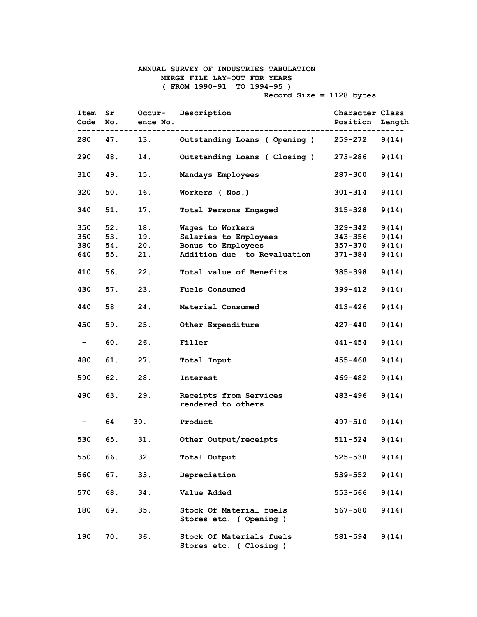## **ANNUAL SURVEY OF INDUSTRIES TABULATION MERGE FILE LAY-OUT FOR YEARS ( FROM 1990-91 TO 1994-95 )**

 **Record Size = 1128 bytes** 

| Item Sr          | Code No. | ence No.       | Occur- Description                                    | Character Class<br>Position Length |        |
|------------------|----------|----------------|-------------------------------------------------------|------------------------------------|--------|
|                  |          |                | 280 47. 13. Outstanding Loans (Opening) 259-272 9(14) |                                    |        |
| 290              | 48.      |                | 14. Outstanding Loans (Closing) 273-286               |                                    | 9(14)  |
| 310              | 49.      |                | 15. Mandays Employees                                 | 287-300                            | 9(14)  |
| 320              | 50.      |                | 16. Workers (Nos.)                                    | 301-314                            | 9 (14) |
| 340              | 51.      |                | 17. Total Persons Engaged                             | 315-328                            | 9(14)  |
| 350              | 52.      | 18.            | Wages to Workers                                      | 329-342                            | 9(14)  |
|                  | 360 53.  |                | 19. Salaries to Employees                             | $343 - 356$ $9(14)$                |        |
|                  | 380 54.  |                | 20. Bonus to Employees                                | $357 - 370$ 9(14)                  |        |
|                  | 640 55.  |                | 21. Addition due to Revaluation                       | $371 - 384$ 9(14)                  |        |
|                  |          |                |                                                       |                                    |        |
|                  | 410 56.  |                | 22. Total value of Benefits                           | 385-398                            | 9(14)  |
| 430              | 57.      | 23.            | <b>Fuels Consumed</b>                                 | 399-412                            | 9(14)  |
| 440              | 58       | 24.            | Material Consumed                                     | 413-426                            | 9(14)  |
| 450              | 59.      |                | 25. Other Expenditure                                 | 427-440                            | 9(14)  |
| $-$              | 60.      | 26.            | Filler                                                | 441-454                            | 9(14)  |
| 480              | 61.      |                | 27. Total Input                                       | 455-468                            | 9(14)  |
| 590              | 62.      | 28.            | <b>Interest</b>                                       | 469-482                            | 9(14)  |
| 490              | 63.      |                | 29. Receipts from Services<br>rendered to others      | 483-496                            | 9(14)  |
| $\sim$ 100 $\mu$ |          | 64 30. Product |                                                       | 497-510                            | 9(14)  |
|                  |          |                | 530 65. 31. Other Output/receipts                     | $511 - 524$ 9(14)                  |        |
| 550 66.          |          | 32             | Total Output                                          | 525-538                            | 9(14)  |
| 560              | 67.      | 33.            | Depreciation                                          | 539-552                            | 9(14)  |
|                  | 570 68.  | 34.            | Value Added                                           | 553-566                            | 9(14)  |
| 180              | 69.      | 35.            | Stock Of Material fuels<br>Stores etc. (Opening)      | 567-580                            | 9(14)  |
| 190              | 70.      | 36.            | Stock Of Materials fuels<br>Stores etc. ( Closing )   | 581-594                            | 9(14)  |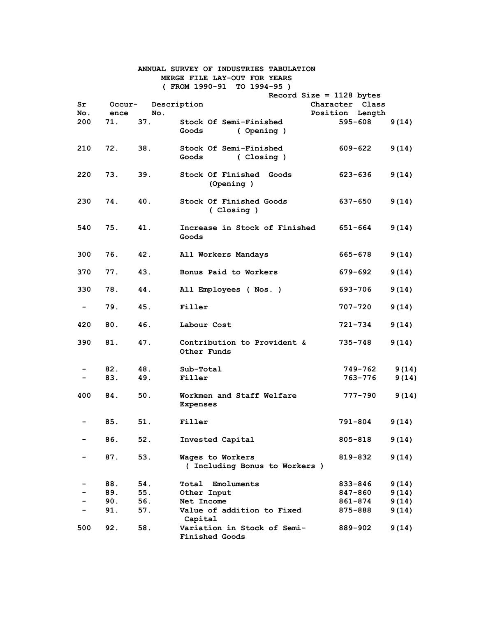|     |            |            | ANNUAL SURVEY OF INDUSTRIES TABULATION                          |                    |                |
|-----|------------|------------|-----------------------------------------------------------------|--------------------|----------------|
|     |            |            | MERGE FILE LAY-OUT FOR YEARS<br>( FROM 1990-91<br>$TO$ 1994-95) |                    |                |
|     |            |            | Record Size = $1128$ bytes                                      |                    |                |
| Sr  | Occur-     |            | Description                                                     | Character Class    |                |
| No. | ence       | No.        |                                                                 | Position Length    |                |
| 200 | 71.        | 37.        | Stock Of Semi-Finished                                          | 595-608            | 9(14)          |
|     |            |            | Goods<br>(Opening)                                              |                    |                |
| 210 | 72.        | 38.        | Stock Of Semi-Finished<br>(Closing)<br>Goods                    | $609 - 622$        | 9 (14)         |
| 220 | 73.        | 39.        | <b>Stock Of Finished</b><br>Goods<br>(Opening)                  | 623-636            | 9(14)          |
| 230 | 74.        | 40.        | Stock Of Finished Goods<br>(Closing)                            | 637-650            | 9(14)          |
| 540 | 75.        | 41.        | Increase in Stock of Finished<br>Goods                          | 651-664            | 9(14)          |
| 300 | 76.        | 42.        | All Workers Mandays                                             | 665-678            | 9(14)          |
| 370 | 77.        | 43.        | Bonus Paid to Workers                                           | 679-692            | 9(14)          |
| 330 | 78.        | 44.        | All Employees (Nos.)                                            | 693-706            | 9(14)          |
|     | 79.        | 45.        | Filler                                                          | 707-720            | 9 (14)         |
| 420 | 80.        | 46.        | Labour Cost                                                     | 721-734            | 9(14)          |
| 390 | 81.        | 47.        | Contribution to Provident &<br>Other Funds                      | 735-748            | 9(14)          |
|     | 82.<br>83. | 48.<br>49. | Sub-Total<br>Filler                                             | 749-762<br>763-776 | 9(14)<br>9(14) |
| 400 | 84.        | 50.        | Workmen and Staff Welfare<br><b>Expenses</b>                    | 777-790            | 9(14)          |
|     | 85.        | 51.        | Filler                                                          | 791-804            | 9(14)          |
|     | 86.        | 52.        | Invested Capital                                                | $805 - 818$        | 9(14)          |
|     | 87.        | 53.        | Wages to Workers<br>( Including Bonus to Workers )              | 819-832            | 9 (14)         |
|     | 88.        | 54.        | Total<br>Emoluments                                             | 833-846            | 9 (14)         |
|     | 89.        | 55.        | Other Input                                                     | 847-860            | 9(14)          |
|     | 90.        | 56.        | Net Income                                                      | 861-874            | 9(14)          |
|     | 91.        | 57.        | Value of addition to Fixed<br>Capital                           | 875-888            | 9(14)          |
| 500 | 92.        | 58.        | Variation in Stock of Semi-<br>Finished Goods                   | 889-902            | 9 (14)         |